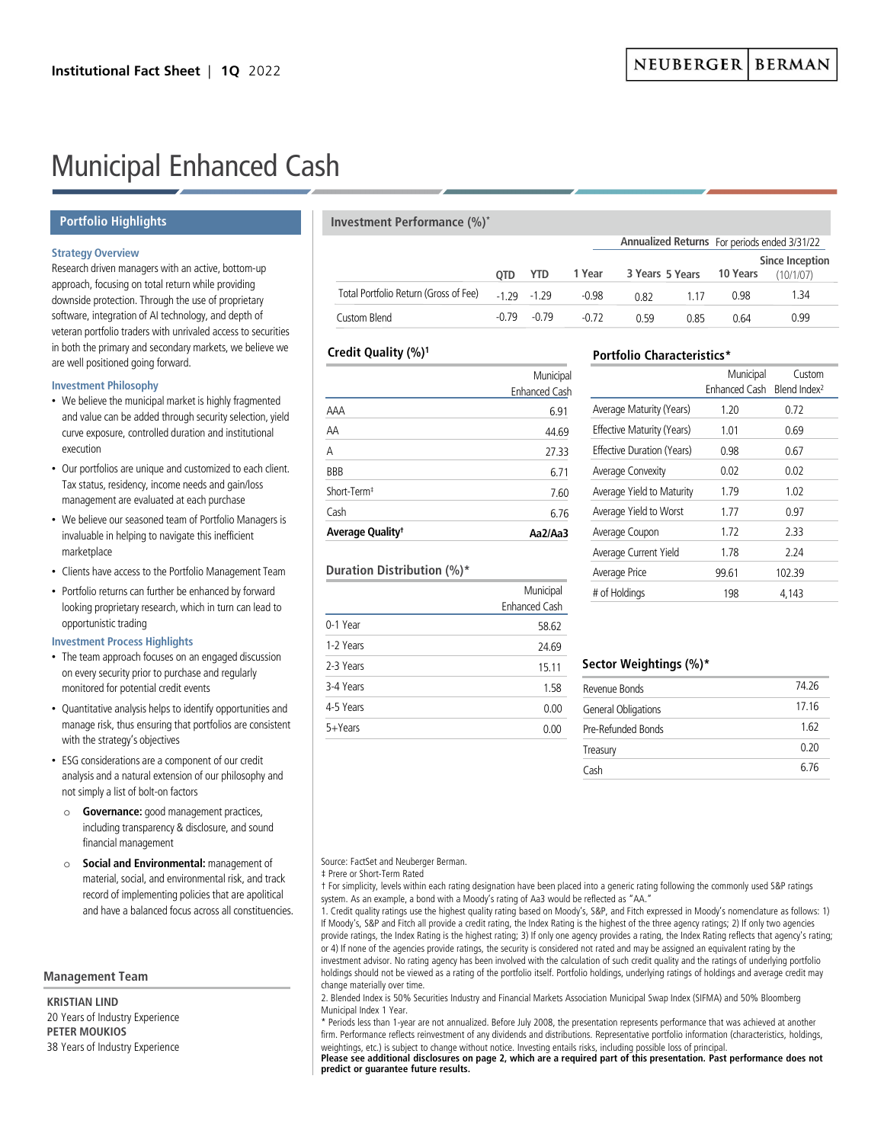**Annualized Returns** For periods ended 3/31/22

# Municipal Enhanced Cash

# **Portfolio Highlights**

# **Strategy Overview**

Research driven managers with an active, bottom-up approach, focusing on total return while providing downside protection. Through the use of proprietary software, integration of AI technology, and depth of veteran portfolio traders with unrivaled access to securities in both the primary and secondary markets, we believe we are well positioned going forward.

## **Investment Philosophy**

- We believe the municipal market is highly fragmented and value can be added through security selection, yield curve exposure, controlled duration and institutional execution
- Our portfolios are unique and customized to each client. Tax status, residency, income needs and gain/loss management are evaluated at each purchase
- We believe our seasoned team of Portfolio Managers is invaluable in helping to navigate this inefficient marketplace
- Clients have access to the Portfolio Management Team
- Portfolio returns can further be enhanced by forward looking proprietary research, which in turn can lead to opportunistic trading

## **Investment Process Highlights**

- The team approach focuses on an engaged discussion on every security prior to purchase and regularly monitored for potential credit events
- Quantitative analysis helps to identify opportunities and manage risk, thus ensuring that portfolios are consistent with the strategy's objectives
- ESG considerations are a component of our credit analysis and a natural extension of our philosophy and not simply a list of bolt-on factors
	- o **Governance:** good management practices, including transparency & disclosure, and sound financial management
	- o **Social and Environmental:** management of material, social, and environmental risk, and track record of implementing policies that are apolitical and have a balanced focus across all constituencies.

# **Management Team**

**KRISTIAN LIND** 20 Years of Industry Experience **PETER MOUKIOS** 38 Years of Industry Experience

# **Investment Performance (%)\***

|                                       | <b>YTD</b><br>OTD. |                | 1 Year  |             |       | <b>Since Inception</b><br>3 Years 5 Years 10 Years<br>(10/1/07) |      |  |
|---------------------------------------|--------------------|----------------|---------|-------------|-------|-----------------------------------------------------------------|------|--|
| Total Portfolio Return (Gross of Fee) | $-1, 29 - 1, 29$   |                | $-0.98$ | 0.82        | 1 1 7 | 0.98                                                            | 1.34 |  |
| Custom Blend                          |                    | $-0.79 - 0.79$ | $-0.72$ | <u>በ 59</u> | 0.85  | 0.64                                                            | 0.99 |  |

# **Credit Quality (%)1**

| Average Quality <sup>t</sup> | Aa2/Aa3              |
|------------------------------|----------------------|
| Cash                         | 6.76                 |
| Short-Term <sup>#</sup>      | 7.60                 |
| <b>BBB</b>                   | 6.71                 |
| А                            | 27.33                |
| AΑ                           | 44.69                |
| AAA                          | 6.91                 |
|                              | <b>Enhanced Cash</b> |
|                              | Municipal            |

# **Duration Distribution (%)\***

|             | Municipal            |
|-------------|----------------------|
|             | <b>Enhanced Cash</b> |
| 0-1 Year    | 58.62                |
| 1-2 Years   | 24.69                |
| 2-3 Years   | 15.11                |
| 3-4 Years   | 1.58                 |
| 4-5 Years   | 0.00                 |
| $5 + Years$ | 0.00                 |
|             |                      |

# **Portfolio Characteristics\***

|                            | Municipal<br>Enhanced Cash | Custom<br>Blend Index <sup>2</sup> |
|----------------------------|----------------------------|------------------------------------|
| Average Maturity (Years)   | 1.20                       | 0.72                               |
| Effective Maturity (Years) | 1.01                       | 0.69                               |
| Effective Duration (Years) | 0.98                       | 0.67                               |
| Average Convexity          | 0.02                       | 0.02                               |
| Average Yield to Maturity  | 179                        | 1.02                               |
| Average Yield to Worst     | 177                        | 0.97                               |
| Average Coupon             | 1.72                       | 2.33                               |
| Average Current Yield      | 178                        | 224                                |
| Average Price              | 99.61                      | 102.39                             |
| # of Holdings              | 198                        | 4,143                              |

# **Sector Weightings (%)\***

| Revenue Bonds       | 74 26 |
|---------------------|-------|
| General Obligations | 17.16 |
| Pre-Refunded Bonds  | 1.62  |
| Treasury            | 0.20  |
| Cash                | հ 7հ  |

Source: FactSet and Neuberger Berman.

† For simplicity, levels within each rating designation have been placed into a generic rating following the commonly used S&P ratings system. As an example, a bond with a Moody's rating of Aa3 would be reflected as "AA.

1. Credit quality ratings use the highest quality rating based on Moody's, S&P, and Fitch expressed in Moody's nomenclature as follows: 1) If Moody's, S&P and Fitch all provide a credit rating, the Index Rating is the highest of the three agency ratings; 2) If only two agencies provide ratings, the Index Rating is the highest rating; 3) If only one agency provides a rating, the Index Rating reflects that agency's rating; or 4) If none of the agencies provide ratings, the security is considered not rated and may be assigned an equivalent rating by the investment advisor. No rating agency has been involved with the calculation of such credit quality and the ratings of underlying portfolio holdings should not be viewed as a rating of the portfolio itself. Portfolio holdings, underlying ratings of holdings and average credit may change materially over time.

2. Blended Index is 50% Securities Industry and Financial Markets Association Municipal Swap Index (SIFMA) and 50% Bloomberg Municipal Index 1 Year.

\* Periods less than 1-year are not annualized. Before July 2008, the presentation represents performance that was achieved at another firm. Performance reflects reinvestment of any dividends and distributions. Representative portfolio information (characteristics, holdings, weightings, etc.) is subject to change without notice. Investing entails risks, including possible loss of principal.

**Please see additional disclosures on page 2, which are a required part of this presentation. Past performance does not predict or guarantee future results.**

<sup>‡</sup> Prere or Short-Term Rated